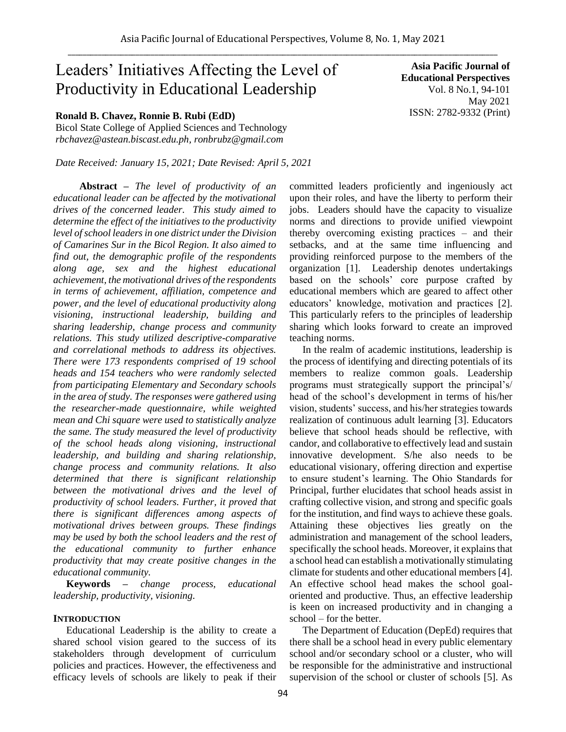# Leaders' Initiatives Affecting the Level of Productivity in Educational Leadership

# **Ronald B. Chavez, Ronnie B. Rubi (EdD)**

Bicol State College of Applied Sciences and Technology *rbchavez@astean.biscast.edu.ph, ronbrubz@gmail.com*

*Date Received: January 15, 2021; Date Revised: April 5, 2021*

**Abstract** *– The level of productivity of an educational leader can be affected by the motivational drives of the concerned leader. This study aimed to determine the effect of the initiatives to the productivity level of school leaders in one district under the Division of Camarines Sur in the Bicol Region. It also aimed to find out, the demographic profile of the respondents along age, sex and the highest educational achievement, the motivational drives of the respondents in terms of achievement, affiliation, competence and power, and the level of educational productivity along visioning, instructional leadership, building and sharing leadership, change process and community relations. This study utilized descriptive-comparative and correlational methods to address its objectives. There were 173 respondents comprised of 19 school heads and 154 teachers who were randomly selected from participating Elementary and Secondary schools in the area of study. The responses were gathered using the researcher-made questionnaire, while weighted mean and Chi square were used to statistically analyze the same. The study measured the level of productivity of the school heads along visioning, instructional leadership, and building and sharing relationship, change process and community relations. It also determined that there is significant relationship between the motivational drives and the level of productivity of school leaders. Further, it proved that there is significant differences among aspects of motivational drives between groups. These findings may be used by both the school leaders and the rest of the educational community to further enhance productivity that may create positive changes in the educational community.*

**Keywords** *– change process, educational leadership, productivity, visioning.* 

#### **INTRODUCTION**

Educational Leadership is the ability to create a shared school vision geared to the success of its stakeholders through development of curriculum policies and practices. However, the effectiveness and efficacy levels of schools are likely to peak if their

**Asia Pacific Journal of Educational Perspectives**  Vol. 8 No.1, 94-101 May 2021 ISSN: 2782-9332 (Print)

committed leaders proficiently and ingeniously act upon their roles, and have the liberty to perform their jobs. Leaders should have the capacity to visualize norms and directions to provide unified viewpoint thereby overcoming existing practices – and their setbacks, and at the same time influencing and providing reinforced purpose to the members of the organization [1]. Leadership denotes undertakings based on the schools' core purpose crafted by educational members which are geared to affect other educators' knowledge, motivation and practices [2]. This particularly refers to the principles of leadership sharing which looks forward to create an improved teaching norms.

In the realm of academic institutions, leadership is the process of identifying and directing potentials of its members to realize common goals. Leadership programs must strategically support the principal's/ head of the school's development in terms of his/her vision, students' success, and his/her strategies towards realization of continuous adult learning [3]. Educators believe that school heads should be reflective, with candor, and collaborative to effectively lead and sustain innovative development. S/he also needs to be educational visionary, offering direction and expertise to ensure student's learning. The Ohio Standards for Principal, further elucidates that school heads assist in crafting collective vision, and strong and specific goals for the institution, and find ways to achieve these goals. Attaining these objectives lies greatly on the administration and management of the school leaders, specifically the school heads. Moreover, it explains that a school head can establish a motivationally stimulating climate for students and other educational members [4]. An effective school head makes the school goaloriented and productive. Thus, an effective leadership is keen on increased productivity and in changing a school – for the better.

The Department of Education (DepEd) requires that there shall be a school head in every public elementary school and/or secondary school or a cluster, who will be responsible for the administrative and instructional supervision of the school or cluster of schools [5]. As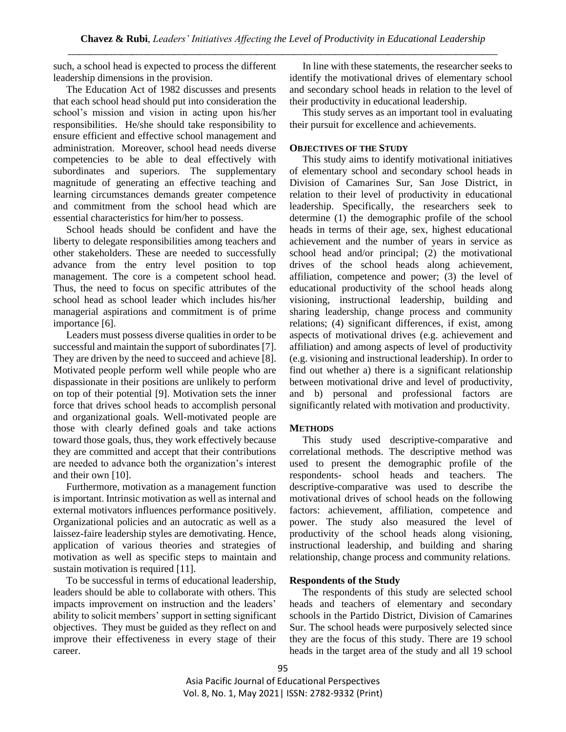such, a school head is expected to process the different leadership dimensions in the provision.

The Education Act of 1982 discusses and presents that each school head should put into consideration the school's mission and vision in acting upon his/her responsibilities. He/she should take responsibility to ensure efficient and effective school management and administration. Moreover, school head needs diverse competencies to be able to deal effectively with subordinates and superiors. The supplementary magnitude of generating an effective teaching and learning circumstances demands greater competence and commitment from the school head which are essential characteristics for him/her to possess.

School heads should be confident and have the liberty to delegate responsibilities among teachers and other stakeholders. These are needed to successfully advance from the entry level position to top management. The core is a competent school head. Thus, the need to focus on specific attributes of the school head as school leader which includes his/her managerial aspirations and commitment is of prime importance [6].

Leaders must possess diverse qualities in order to be successful and maintain the support of subordinates [7]. They are driven by the need to succeed and achieve [8]. Motivated people perform well while people who are dispassionate in their positions are unlikely to perform on top of their potential [9]. Motivation sets the inner force that drives school heads to accomplish personal and organizational goals. Well-motivated people are those with clearly defined goals and take actions toward those goals, thus, they work effectively because they are committed and accept that their contributions are needed to advance both the organization's interest and their own [10].

Furthermore, motivation as a management function is important. Intrinsic motivation as well as internal and external motivators influences performance positively. Organizational policies and an autocratic as well as a laissez-faire leadership styles are demotivating. Hence, application of various theories and strategies of motivation as well as specific steps to maintain and sustain motivation is required [11].

To be successful in terms of educational leadership, leaders should be able to collaborate with others. This impacts improvement on instruction and the leaders' ability to solicit members' support in setting significant objectives. They must be guided as they reflect on and improve their effectiveness in every stage of their career.

In line with these statements, the researcher seeks to identify the motivational drives of elementary school and secondary school heads in relation to the level of their productivity in educational leadership.

This study serves as an important tool in evaluating their pursuit for excellence and achievements.

## **OBJECTIVES OF THE STUDY**

This study aims to identify motivational initiatives of elementary school and secondary school heads in Division of Camarines Sur, San Jose District, in relation to their level of productivity in educational leadership. Specifically, the researchers seek to determine (1) the demographic profile of the school heads in terms of their age, sex, highest educational achievement and the number of years in service as school head and/or principal; (2) the motivational drives of the school heads along achievement, affiliation, competence and power; (3) the level of educational productivity of the school heads along visioning, instructional leadership, building and sharing leadership, change process and community relations; (4) significant differences, if exist, among aspects of motivational drives (e.g. achievement and affiliation) and among aspects of level of productivity (e.g. visioning and instructional leadership). In order to find out whether a) there is a significant relationship between motivational drive and level of productivity, and b) personal and professional factors are significantly related with motivation and productivity.

# **METHODS**

This study used descriptive-comparative and correlational methods. The descriptive method was used to present the demographic profile of the respondents- school heads and teachers. The descriptive-comparative was used to describe the motivational drives of school heads on the following factors: achievement, affiliation, competence and power. The study also measured the level of productivity of the school heads along visioning, instructional leadership, and building and sharing relationship, change process and community relations.

# **Respondents of the Study**

The respondents of this study are selected school heads and teachers of elementary and secondary schools in the Partido District, Division of Camarines Sur. The school heads were purposively selected since they are the focus of this study. There are 19 school heads in the target area of the study and all 19 school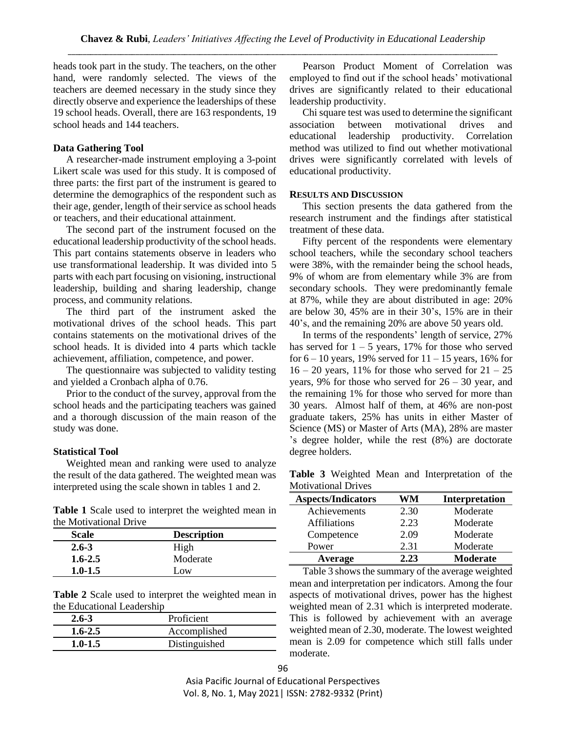heads took part in the study. The teachers, on the other hand, were randomly selected. The views of the teachers are deemed necessary in the study since they directly observe and experience the leaderships of these 19 school heads. Overall, there are 163 respondents, 19 school heads and 144 teachers.

#### **Data Gathering Tool**

A researcher-made instrument employing a 3-point Likert scale was used for this study. It is composed of three parts: the first part of the instrument is geared to determine the demographics of the respondent such as their age, gender, length of their service as school heads or teachers, and their educational attainment.

The second part of the instrument focused on the educational leadership productivity of the school heads. This part contains statements observe in leaders who use transformational leadership. It was divided into 5 parts with each part focusing on visioning, instructional leadership, building and sharing leadership, change process, and community relations.

The third part of the instrument asked the motivational drives of the school heads. This part contains statements on the motivational drives of the school heads. It is divided into 4 parts which tackle achievement, affiliation, competence, and power.

The questionnaire was subjected to validity testing and yielded a Cronbach alpha of 0.76.

Prior to the conduct of the survey, approval from the school heads and the participating teachers was gained and a thorough discussion of the main reason of the study was done.

# **Statistical Tool**

Weighted mean and ranking were used to analyze the result of the data gathered. The weighted mean was interpreted using the scale shown in tables 1 and 2.

**Table 1** Scale used to interpret the weighted mean in the Motivational Drive

| <b>Scale</b> | <b>Description</b> |
|--------------|--------------------|
| $2.6 - 3$    | High               |
| $1.6 - 2.5$  | Moderate           |
| $1.0 - 1.5$  | Low                |

**Table 2** Scale used to interpret the weighted mean in the Educational Leadership

| $2.6 - 3$   | Proficient    |
|-------------|---------------|
| $1.6 - 2.5$ | Accomplished  |
| $1.0 - 1.5$ | Distinguished |

Pearson Product Moment of Correlation was employed to find out if the school heads' motivational drives are significantly related to their educational leadership productivity.

Chi square test was used to determine the significant association between motivational drives and educational leadership productivity. Correlation method was utilized to find out whether motivational drives were significantly correlated with levels of educational productivity.

#### **RESULTS AND DISCUSSION**

This section presents the data gathered from the research instrument and the findings after statistical treatment of these data.

Fifty percent of the respondents were elementary school teachers, while the secondary school teachers were 38%, with the remainder being the school heads, 9% of whom are from elementary while 3% are from secondary schools. They were predominantly female at 87%, while they are about distributed in age: 20% are below 30, 45% are in their 30's, 15% are in their 40's, and the remaining 20% are above 50 years old.

In terms of the respondents' length of service, 27% has served for  $1 - 5$  years, 17% for those who served for  $6 - 10$  years, 19% served for  $11 - 15$  years, 16% for  $16 - 20$  years, 11% for those who served for  $21 - 25$ years, 9% for those who served for  $26 - 30$  year, and the remaining 1% for those who served for more than 30 years. Almost half of them, at 46% are non-post graduate takers, 25% has units in either Master of Science (MS) or Master of Arts (MA), 28% are master 's degree holder, while the rest (8%) are doctorate degree holders.

**Table 3** Weighted Mean and Interpretation of the Motivational Drives

| <b>Aspects/Indicators</b> | WM   | Interpretation  |
|---------------------------|------|-----------------|
| Achievements              | 2.30 | Moderate        |
| <b>Affiliations</b>       | 2.23 | Moderate        |
| Competence                | 2.09 | Moderate        |
| Power                     | 2.31 | Moderate        |
| Average                   | 2.23 | <b>Moderate</b> |

Table 3 shows the summary of the average weighted mean and interpretation per indicators. Among the four aspects of motivational drives, power has the highest weighted mean of 2.31 which is interpreted moderate. This is followed by achievement with an average weighted mean of 2.30, moderate. The lowest weighted mean is 2.09 for competence which still falls under moderate.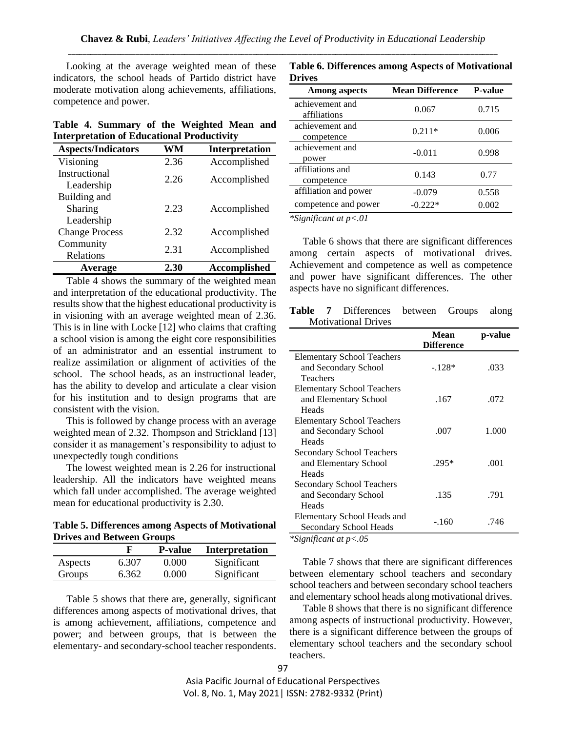Looking at the average weighted mean of these indicators, the school heads of Partido district have moderate motivation along achievements, affiliations, competence and power.

|  | Table 4. Summary of the Weighted Mean and         |  |  |  |
|--|---------------------------------------------------|--|--|--|
|  | <b>Interpretation of Educational Productivity</b> |  |  |  |

| <b>Aspects/Indicators</b> | WM   | Interpretation      |
|---------------------------|------|---------------------|
| Visioning                 | 2.36 | Accomplished        |
| Instructional             | 2.26 | Accomplished        |
| Leadership                |      |                     |
| Building and              |      |                     |
| Sharing                   | 2.23 | Accomplished        |
| Leadership                |      |                     |
| <b>Change Process</b>     | 2.32 | Accomplished        |
| Community                 | 2.31 | Accomplished        |
| Relations                 |      |                     |
| Average                   | 2.30 | <b>Accomplished</b> |

Table 4 shows the summary of the weighted mean and interpretation of the educational productivity. The results show that the highest educational productivity is in visioning with an average weighted mean of 2.36. This is in line with Locke [12] who claims that crafting a school vision is among the eight core responsibilities of an administrator and an essential instrument to realize assimilation or alignment of activities of the school. The school heads, as an instructional leader, has the ability to develop and articulate a clear vision for his institution and to design programs that are consistent with the vision.

This is followed by change process with an average weighted mean of 2.32. Thompson and Strickland [13] consider it as management's responsibility to adjust to unexpectedly tough conditions

The lowest weighted mean is 2.26 for instructional leadership. All the indicators have weighted means which fall under accomplished. The average weighted mean for educational productivity is 2.30.

### **Table 5. Differences among Aspects of Motivational Drives and Between Groups**

|         |       | <b>P</b> -value | <b>Interpretation</b> |
|---------|-------|-----------------|-----------------------|
| Aspects | 6.307 | 0.000           | Significant           |
| Groups  | 6.362 | 0.000           | Significant           |

Table 5 shows that there are, generally, significant differences among aspects of motivational drives, that is among achievement, affiliations, competence and power; and between groups, that is between the elementary- and secondary-school teacher respondents.

| Table 6. Differences among Aspects of Motivational |  |
|----------------------------------------------------|--|
| <b>Drives</b>                                      |  |

| <b>Among aspects</b>  | <b>Mean Difference</b> | <b>P-value</b> |  |
|-----------------------|------------------------|----------------|--|
| achievement and       | 0.067                  | 0.715          |  |
| affiliations          |                        |                |  |
| achievement and       | $0.211*$               | 0.006          |  |
| competence            |                        |                |  |
| achievement and       | $-0.011$               | 0.998          |  |
| power                 |                        |                |  |
| affiliations and      | 0.143                  | 0.77           |  |
| competence            |                        |                |  |
| affiliation and power | $-0.079$               | 0.558          |  |
| competence and power  | $-0.222*$              | 0.002          |  |

*\*Significant at p<.01*

Table 6 shows that there are significant differences among certain aspects of motivational drives. Achievement and competence as well as competence and power have significant differences. The other aspects have no significant differences.

**Table 7** Differences between Groups along Motivational Drives

|                                   | Mean<br><b>Difference</b> | p-value |
|-----------------------------------|---------------------------|---------|
| <b>Elementary School Teachers</b> |                           |         |
| and Secondary School              | $-.128*$                  | .033    |
| Teachers                          |                           |         |
| <b>Elementary School Teachers</b> |                           |         |
| and Elementary School             | .167                      | .072    |
| Heads                             |                           |         |
| <b>Elementary School Teachers</b> |                           |         |
| and Secondary School              | .007                      | 1.000   |
| Heads                             |                           |         |
| <b>Secondary School Teachers</b>  |                           |         |
| and Elementary School             | $.295*$                   | .001    |
| Heads                             |                           |         |
| <b>Secondary School Teachers</b>  |                           |         |
| and Secondary School              | .135                      | .791    |
| Heads                             |                           |         |
| Elementary School Heads and       |                           |         |
| Secondary School Heads            |                           |         |
|                                   | $-.160$                   | .746    |

*\*Significant at p<.05*

Table 7 shows that there are significant differences between elementary school teachers and secondary school teachers and between secondary school teachers and elementary school heads along motivational drives.

Table 8 shows that there is no significant difference among aspects of instructional productivity. However, there is a significant difference between the groups of elementary school teachers and the secondary school teachers.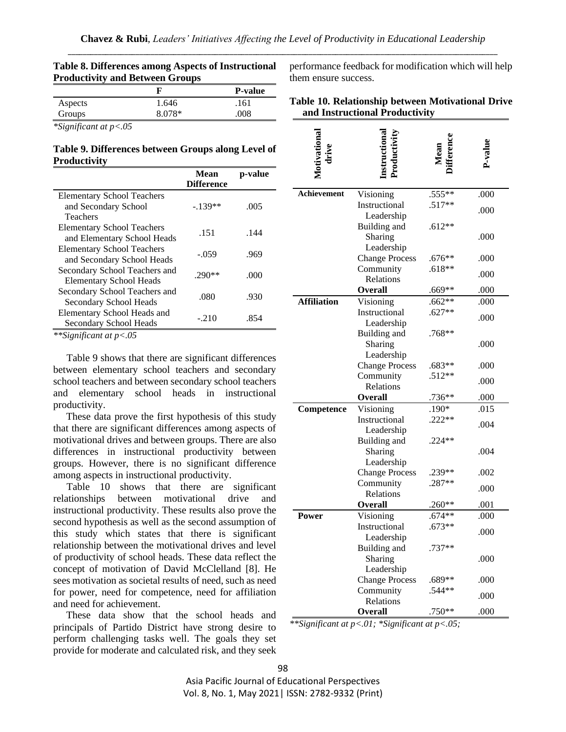|         | Troutelivity and between Groups |                |
|---------|---------------------------------|----------------|
|         |                                 | <b>P-value</b> |
| Aspects | 1.646                           | .161           |
| Groups  | 8.078*                          | .008           |
|         |                                 |                |

| Table 8. Differences among Aspects of Instructional |
|-----------------------------------------------------|
| <b>Productivity and Between Groups</b>              |

*\*Significant at p<.05*

## **Table 9. Differences between Groups along Level of Productivity**

|                                   | Mean<br><b>Difference</b> | p-value |
|-----------------------------------|---------------------------|---------|
| <b>Elementary School Teachers</b> |                           |         |
| and Secondary School              | $-139**$                  | .005    |
| Teachers                          |                           |         |
| <b>Elementary School Teachers</b> | .151                      | .144    |
| and Elementary School Heads       |                           |         |
| <b>Elementary School Teachers</b> | $-.059$                   | .969    |
| and Secondary School Heads        |                           |         |
| Secondary School Teachers and     | $.290**$                  | .000    |
| <b>Elementary School Heads</b>    |                           |         |
| Secondary School Teachers and     | .080                      | .930    |
| Secondary School Heads            |                           |         |
| Elementary School Heads and       | $-.210$                   | .854    |
| Secondary School Heads            |                           |         |

*\*\*Significant at p<.05*

Table 9 shows that there are significant differences between elementary school teachers and secondary school teachers and between secondary school teachers and elementary school heads in instructional productivity.

These data prove the first hypothesis of this study that there are significant differences among aspects of motivational drives and between groups. There are also differences in instructional productivity between groups. However, there is no significant difference among aspects in instructional productivity.

Table 10 shows that there are significant relationships between motivational drive and instructional productivity. These results also prove the second hypothesis as well as the second assumption of this study which states that there is significant relationship between the motivational drives and level of productivity of school heads. These data reflect the concept of motivation of David McClelland [8]. He sees motivation as societal results of need, such as need for power, need for competence, need for affiliation and need for achievement.

These data show that the school heads and principals of Partido District have strong desire to perform challenging tasks well. The goals they set provide for moderate and calculated risk, and they seek performance feedback for modification which will help them ensure success.

| Table 10. Relationship between Motivational Drive |  |
|---------------------------------------------------|--|
| and Instructional Productivity                    |  |

| Motivational<br>drive | Instructiona                       | Mean                 | P-value |
|-----------------------|------------------------------------|----------------------|---------|
|                       |                                    |                      |         |
| Achievement           | Visioning                          | .555**               | .000    |
|                       | Instructional                      | $.517**$             | .000    |
|                       | Leadership                         |                      |         |
|                       | Building and                       | .612**               |         |
|                       | Sharing                            |                      | .000    |
|                       | Leadership                         | $.676**$             |         |
|                       | <b>Change Process</b><br>Community | $.618**$             | .000    |
|                       | Relations                          |                      | .000    |
|                       | <b>Overall</b>                     | $.669**$             | .000    |
| <b>Affiliation</b>    | Visioning                          | $.662**$             | .000    |
|                       | Instructional                      | $.627**$             |         |
|                       | Leadership                         |                      | .000    |
|                       | Building and                       | $.768**$             |         |
|                       | Sharing                            |                      | .000    |
|                       | Leadership                         |                      |         |
|                       | <b>Change Process</b>              | $.683**$             | .000    |
|                       | Community                          | $.512**$             | .000    |
|                       | Relations<br><b>Overall</b>        | $.736**$             | .000    |
| Competence            | Visioning                          | .190*                | .015    |
|                       | Instructional                      | $.222**$             |         |
|                       | Leadership                         |                      | .004    |
|                       | Building and                       | $.224**$             |         |
|                       | Sharing                            |                      | .004    |
|                       | Leadership                         |                      |         |
|                       | <b>Change Process</b>              | .239**               | .002    |
|                       | Community                          | $.287**$             | .000    |
|                       | Relations                          |                      |         |
|                       | <b>Overall</b>                     | $.260**$             | .001    |
| Power                 | Visioning<br>Instructional         | $.674**$<br>$.673**$ | .000    |
|                       | Leadership                         |                      | .000    |
|                       | Building and                       | .737**               |         |
|                       | Sharing                            |                      | .000    |
|                       | Leadership                         |                      |         |
|                       | <b>Change Process</b>              | $.689**$             | .000    |
|                       | Community                          | $.544**$             | .000    |
|                       | Relations                          |                      |         |
|                       | <b>Overall</b>                     | .750**               | .000    |

*\*\*Significant at p<.01; \*Significant at p<.05;*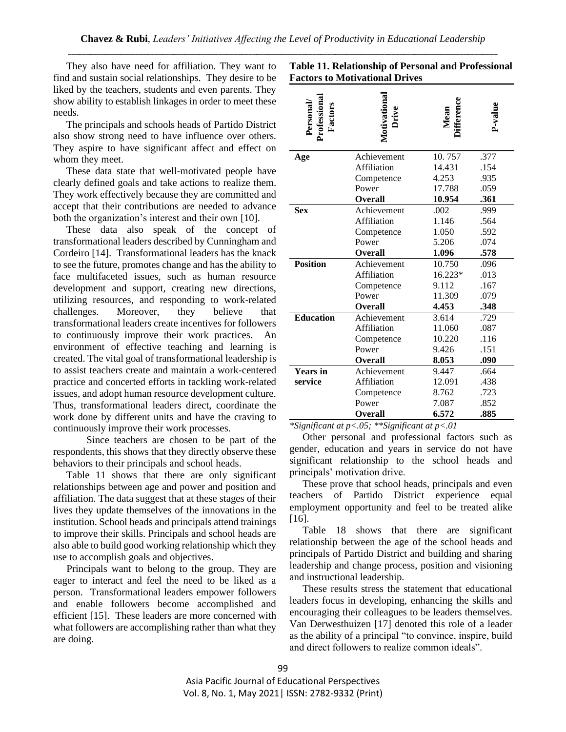They also have need for affiliation. They want to find and sustain social relationships. They desire to be liked by the teachers, students and even parents. They show ability to establish linkages in order to meet these needs.

The principals and schools heads of Partido District also show strong need to have influence over others. They aspire to have significant affect and effect on whom they meet.

These data state that well-motivated people have clearly defined goals and take actions to realize them. They work effectively because they are committed and accept that their contributions are needed to advance both the organization's interest and their own [10].

These data also speak of the concept of transformational leaders described by Cunningham and Cordeiro [14]. Transformational leaders has the knack to see the future, promotes change and has the ability to face multifaceted issues, such as human resource development and support, creating new directions, utilizing resources, and responding to work-related challenges. Moreover, they believe that transformational leaders create incentives for followers to continuously improve their work practices. An environment of effective teaching and learning is created. The vital goal of transformational leadership is to assist teachers create and maintain a work-centered practice and concerted efforts in tackling work-related issues, and adopt human resource development culture. Thus, transformational leaders direct, coordinate the work done by different units and have the craving to continuously improve their work processes.

Since teachers are chosen to be part of the respondents, this shows that they directly observe these behaviors to their principals and school heads.

Table 11 shows that there are only significant relationships between age and power and position and affiliation. The data suggest that at these stages of their lives they update themselves of the innovations in the institution. School heads and principals attend trainings to improve their skills. Principals and school heads are also able to build good working relationship which they use to accomplish goals and objectives.

Principals want to belong to the group. They are eager to interact and feel the need to be liked as a person. Transformational leaders empower followers and enable followers become accomplished and efficient [15]. These leaders are more concerned with what followers are accomplishing rather than what they are doing.

| Personal/<br>Professiona<br>Factors | Motivational<br>Drive | ifference<br>Mean | P-value |
|-------------------------------------|-----------------------|-------------------|---------|
|                                     |                       |                   |         |
| Age                                 | Achievement           | 10.757            | .377    |
|                                     | Affiliation           | 14.431            | .154    |
|                                     | Competence            | 4.253             | .935    |
|                                     | Power                 | 17.788            | .059    |
|                                     | <b>Overall</b>        | 10.954            | .361    |
| <b>Sex</b>                          | Achievement           | .002              | .999    |
|                                     | <b>Affiliation</b>    | 1.146             | .564    |
|                                     | Competence            | 1.050             | .592    |
|                                     | Power                 | 5.206             | .074    |
|                                     | <b>Overall</b>        | 1.096             | .578    |
| <b>Position</b>                     | Achievement           | 10.750            | .096    |
|                                     | <b>Affiliation</b>    | 16.223*           | .013    |
|                                     | Competence            | 9.112             | .167    |
|                                     | Power                 | 11.309            | .079    |
|                                     | <b>Overall</b>        | 4.453             | .348    |
| <b>Education</b>                    | Achievement           | 3.614             | .729    |
|                                     | Affiliation           | 11.060            | .087    |
|                                     | Competence            | 10.220            | .116    |
|                                     | Power                 | 9.426             | .151    |
|                                     | <b>Overall</b>        | 8.053             | .090    |
| <b>Years in</b>                     | Achievement           | 9.447             | .664    |
| service                             | Affiliation           | 12.091            | .438    |
|                                     | Competence            | 8.762             | .723    |
|                                     | Power                 | 7.087             | .852    |
|                                     | Overall               | 6.572             | .885    |

**Table 11. Relationship of Personal and Professional Factors to Motivational Drives**

*\*Significant at p<.05; \*\*Significant at p<.01*

Other personal and professional factors such as gender, education and years in service do not have significant relationship to the school heads and principals' motivation drive.

These prove that school heads, principals and even teachers of Partido District experience equal employment opportunity and feel to be treated alike [16].

Table 18 shows that there are significant relationship between the age of the school heads and principals of Partido District and building and sharing leadership and change process, position and visioning and instructional leadership.

These results stress the statement that educational leaders focus in developing, enhancing the skills and encouraging their colleagues to be leaders themselves. Van Derwesthuizen [17] denoted this role of a leader as the ability of a principal "to convince, inspire, build and direct followers to realize common ideals".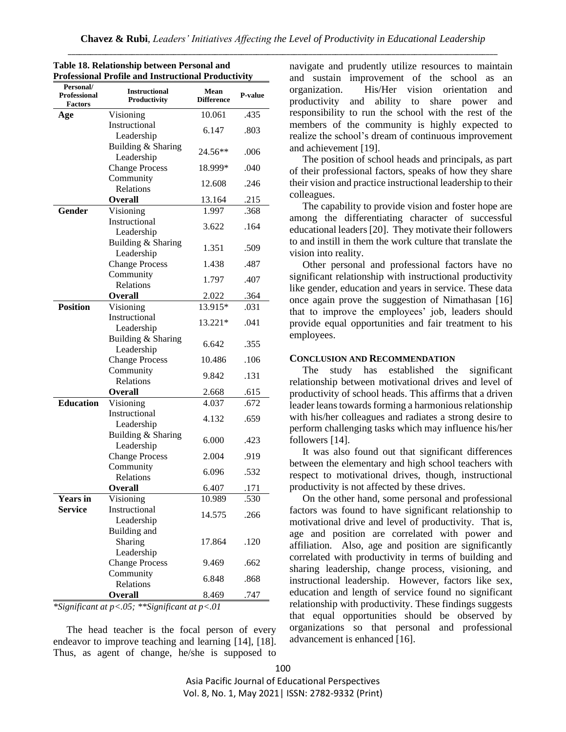| TOTESSIONAL I TOIN                                 | e anu msu uchonai i fouuchvity       |                           |         |
|----------------------------------------------------|--------------------------------------|---------------------------|---------|
| Personal/<br><b>Professional</b><br><b>Factors</b> | <b>Instructional</b><br>Productivity | Mean<br><b>Difference</b> | P-value |
| Age                                                | Visioning                            | 10.061                    | .435    |
|                                                    | Instructional<br>Leadership          | 6.147                     | .803    |
|                                                    | Building & Sharing<br>Leadership     | 24.56**                   | .006    |
|                                                    | <b>Change Process</b>                | 18.999*                   | .040    |
|                                                    | Community                            | 12.608                    | .246    |
|                                                    | Relations                            |                           |         |
|                                                    | Overall                              | 13.164                    | .215    |
| Gender                                             | Visioning                            | 1.997                     | .368    |
|                                                    | Instructional<br>Leadership          | 3.622                     | .164    |
|                                                    | Building & Sharing<br>Leadership     | 1.351                     | .509    |
|                                                    | <b>Change Process</b>                | 1.438                     | .487    |
|                                                    | Community<br>Relations               | 1.797                     | .407    |
|                                                    | <b>Overall</b>                       | 2.022                     | .364    |
| <b>Position</b>                                    | Visioning                            | 13.915*                   | .031    |
|                                                    | Instructional<br>Leadership          | 13.221*                   | .041    |
|                                                    | Building & Sharing<br>Leadership     | 6.642                     | .355    |
|                                                    | <b>Change Process</b>                | 10.486                    | .106    |
|                                                    | Community<br>Relations               | 9.842                     | .131    |
|                                                    | <b>Overall</b>                       | 2.668                     | .615    |
| <b>Education</b>                                   | Visioning                            | 4.037                     | .672    |
|                                                    | Instructional                        |                           |         |
|                                                    | Leadership                           | 4.132                     | .659    |
|                                                    | Building & Sharing<br>Leadership     | 6.000                     | .423    |
|                                                    | <b>Change Process</b>                | 2.004                     | .919    |
|                                                    | Community<br>Relations               | 6.096                     | .532    |
|                                                    | Overall                              | 6.407                     | .171    |
| <b>Years in</b>                                    | Visioning                            | 10.989                    | .530    |
| <b>Service</b>                                     | Instructional                        |                           |         |
|                                                    | Leadership                           | 14.575                    | .266    |
|                                                    | Building and                         |                           |         |
|                                                    | Sharing                              | 17.864                    | .120    |
|                                                    | Leadership                           |                           |         |
|                                                    | <b>Change Process</b>                | 9.469                     | .662    |
|                                                    | Community<br>Relations               | 6.848                     | .868    |
|                                                    | <b>Overall</b>                       | 8.469                     | .747    |

#### **Table 18. Relationship between Personal and Professional Profile and Instructional Productivity**

*\*Significant at p<.05; \*\*Significant at p<.01*

The head teacher is the focal person of every endeavor to improve teaching and learning [14], [18]. Thus, as agent of change, he/she is supposed to navigate and prudently utilize resources to maintain and sustain improvement of the school as an organization. His/Her vision orientation and productivity and ability to share power and responsibility to run the school with the rest of the members of the community is highly expected to realize the school's dream of continuous improvement and achievement [19].

The position of school heads and principals, as part of their professional factors, speaks of how they share their vision and practice instructional leadership to their colleagues.

The capability to provide vision and foster hope are among the differentiating character of successful educational leaders [20]. They motivate their followers to and instill in them the work culture that translate the vision into reality.

Other personal and professional factors have no significant relationship with instructional productivity like gender, education and years in service. These data once again prove the suggestion of Nimathasan [16] that to improve the employees' job, leaders should provide equal opportunities and fair treatment to his employees.

#### **CONCLUSION AND RECOMMENDATION**

The study has established the significant relationship between motivational drives and level of productivity of school heads. This affirms that a driven leader leans towards forming a harmonious relationship with his/her colleagues and radiates a strong desire to perform challenging tasks which may influence his/her followers [14].

It was also found out that significant differences between the elementary and high school teachers with respect to motivational drives, though, instructional productivity is not affected by these drives.

On the other hand, some personal and professional factors was found to have significant relationship to motivational drive and level of productivity. That is, age and position are correlated with power and affiliation. Also, age and position are significantly correlated with productivity in terms of building and sharing leadership, change process, visioning, and instructional leadership. However, factors like sex, education and length of service found no significant relationship with productivity. These findings suggests that equal opportunities should be observed by organizations so that personal and professional advancement is enhanced [16].